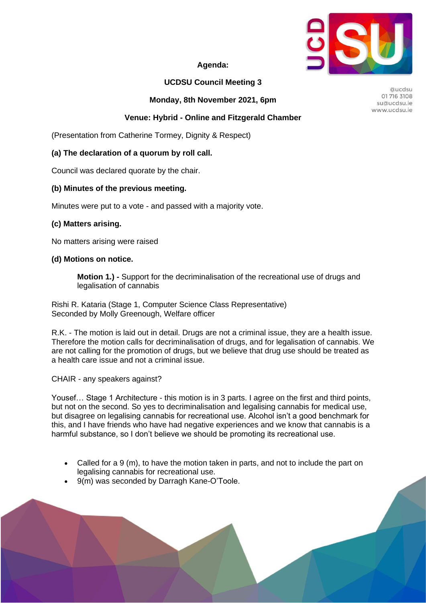

### **Agenda:**

## **UCDSU Council Meeting 3**

**Monday, 8th November 2021, 6pm**

### **Venue: Hybrid - Online and Fitzgerald Chamber**

(Presentation from Catherine Tormey, Dignity & Respect)

#### **(a) The declaration of a quorum by roll call.**

Council was declared quorate by the chair.

#### **(b) Minutes of the previous meeting.**

Minutes were put to a vote - and passed with a majority vote.

#### **(c) Matters arising.**

No matters arising were raised

#### **(d) Motions on notice.**

**Motion 1.) -** Support for the decriminalisation of the recreational use of drugs and legalisation of cannabis

Rishi R. Kataria (Stage 1, Computer Science Class Representative) Seconded by Molly Greenough, Welfare officer

R.K. - The motion is laid out in detail. Drugs are not a criminal issue, they are a health issue. Therefore the motion calls for decriminalisation of drugs, and for legalisation of cannabis. We are not calling for the promotion of drugs, but we believe that drug use should be treated as a health care issue and not a criminal issue.

CHAIR - any speakers against?

Yousef… Stage 1 Architecture - this motion is in 3 parts. I agree on the first and third points, but not on the second. So yes to decriminalisation and legalising cannabis for medical use, but disagree on legalising cannabis for recreational use. Alcohol isn't a good benchmark for this, and I have friends who have had negative experiences and we know that cannabis is a harmful substance, so I don't believe we should be promoting its recreational use.

- Called for a 9 (m), to have the motion taken in parts, and not to include the part on legalising cannabis for recreational use.
- 9(m) was seconded by Darragh Kane-O'Toole.

Quedsu 01 716 3108 su@ucdsu.ie www.ucdsu.je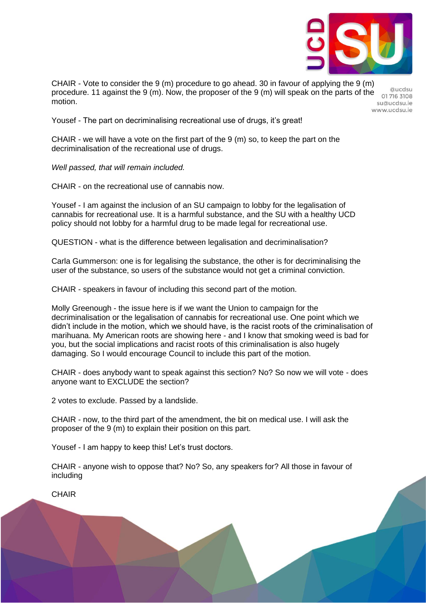

CHAIR - Vote to consider the 9 (m) procedure to go ahead. 30 in favour of applying the 9 (m) procedure. 11 against the 9 (m). Now, the proposer of the 9 (m) will speak on the parts of the motion.

Quedsu 017163108 su@ucdsu.ie www.ucdsu.je

Yousef - The part on decriminalising recreational use of drugs, it's great!

CHAIR - we will have a vote on the first part of the 9 (m) so, to keep the part on the decriminalisation of the recreational use of drugs.

*Well passed, that will remain included.*

CHAIR - on the recreational use of cannabis now.

Yousef - I am against the inclusion of an SU campaign to lobby for the legalisation of cannabis for recreational use. It is a harmful substance, and the SU with a healthy UCD policy should not lobby for a harmful drug to be made legal for recreational use.

QUESTION - what is the difference between legalisation and decriminalisation?

Carla Gummerson: one is for legalising the substance, the other is for decriminalising the user of the substance, so users of the substance would not get a criminal conviction.

CHAIR - speakers in favour of including this second part of the motion.

Molly Greenough - the issue here is if we want the Union to campaign for the decriminalisation or the legalisation of cannabis for recreational use. One point which we didn't include in the motion, which we should have, is the racist roots of the criminalisation of marihuana. My American roots are showing here - and I know that smoking weed is bad for you, but the social implications and racist roots of this criminalisation is also hugely damaging. So I would encourage Council to include this part of the motion.

CHAIR - does anybody want to speak against this section? No? So now we will vote - does anyone want to EXCLUDE the section?

2 votes to exclude. Passed by a landslide.

CHAIR - now, to the third part of the amendment, the bit on medical use. I will ask the proposer of the 9 (m) to explain their position on this part.

Yousef - I am happy to keep this! Let's trust doctors.

CHAIR - anyone wish to oppose that? No? So, any speakers for? All those in favour of including

**CHAIR**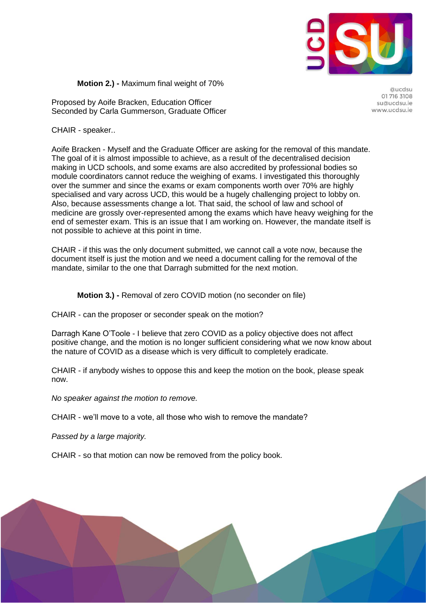

**Motion 2.) -** Maximum final weight of 70%

Proposed by Aoife Bracken, Education Officer Seconded by Carla Gummerson, Graduate Officer

Quedsu 01 716 3108 su@ucdsu.ie www.ucdsu.je

CHAIR - speaker..

Aoife Bracken - Myself and the Graduate Officer are asking for the removal of this mandate. The goal of it is almost impossible to achieve, as a result of the decentralised decision making in UCD schools, and some exams are also accredited by professional bodies so module coordinators cannot reduce the weighing of exams. I investigated this thoroughly over the summer and since the exams or exam components worth over 70% are highly specialised and vary across UCD, this would be a hugely challenging project to lobby on. Also, because assessments change a lot. That said, the school of law and school of medicine are grossly over-represented among the exams which have heavy weighing for the end of semester exam. This is an issue that I am working on. However, the mandate itself is not possible to achieve at this point in time.

CHAIR - if this was the only document submitted, we cannot call a vote now, because the document itself is just the motion and we need a document calling for the removal of the mandate, similar to the one that Darragh submitted for the next motion.

**Motion 3.) -** Removal of zero COVID motion (no seconder on file)

CHAIR - can the proposer or seconder speak on the motion?

Darragh Kane O'Toole - I believe that zero COVID as a policy objective does not affect positive change, and the motion is no longer sufficient considering what we now know about the nature of COVID as a disease which is very difficult to completely eradicate.

CHAIR - if anybody wishes to oppose this and keep the motion on the book, please speak now.

*No speaker against the motion to remove.*

CHAIR - we'll move to a vote, all those who wish to remove the mandate?

*Passed by a large majority.*

CHAIR - so that motion can now be removed from the policy book.

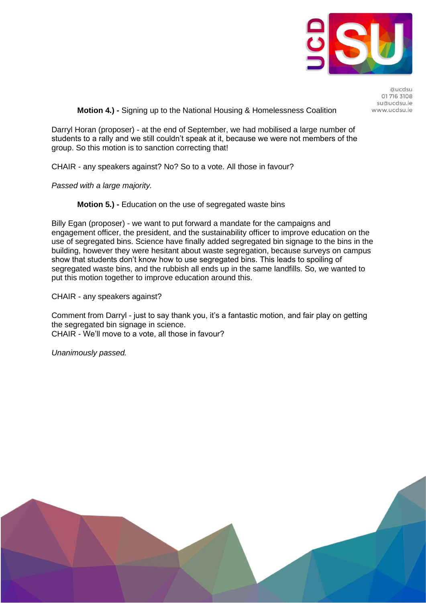

Quedsu 01 716 3108 su@ucdsu.ie www.ucdsu.je

**Motion 4.) -** Signing up to the National Housing & Homelessness Coalition

Darryl Horan (proposer) - at the end of September, we had mobilised a large number of students to a rally and we still couldn't speak at it, because we were not members of the group. So this motion is to sanction correcting that!

CHAIR - any speakers against? No? So to a vote. All those in favour?

*Passed with a large majority.*

**Motion 5.) -** Education on the use of segregated waste bins

Billy Egan (proposer) - we want to put forward a mandate for the campaigns and engagement officer, the president, and the sustainability officer to improve education on the use of segregated bins. Science have finally added segregated bin signage to the bins in the building, however they were hesitant about waste segregation, because surveys on campus show that students don't know how to use segregated bins. This leads to spoiling of segregated waste bins, and the rubbish all ends up in the same landfills. So, we wanted to put this motion together to improve education around this.

CHAIR - any speakers against?

Comment from Darryl - just to say thank you, it's a fantastic motion, and fair play on getting the segregated bin signage in science. CHAIR - We'll move to a vote, all those in favour?

*Unanimously passed.*

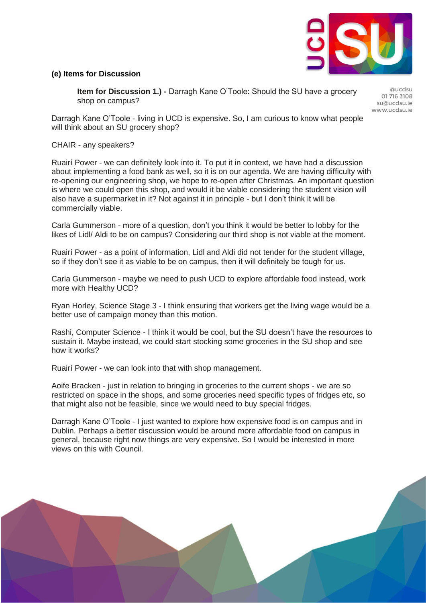

### **(e) Items for Discussion**

**Item for Discussion 1.) -** Darragh Kane O'Toole: Should the SU have a grocery shop on campus?

Quedsu 01 716 3108 su@ucdsu.ie www.ucdsu.je

Darragh Kane O'Toole - living in UCD is expensive. So, I am curious to know what people will think about an SU grocery shop?

CHAIR - any speakers?

Ruairí Power - we can definitely look into it. To put it in context, we have had a discussion about implementing a food bank as well, so it is on our agenda. We are having difficulty with re-opening our engineering shop, we hope to re-open after Christmas. An important question is where we could open this shop, and would it be viable considering the student vision will also have a supermarket in it? Not against it in principle - but I don't think it will be commercially viable.

Carla Gummerson - more of a question, don't you think it would be better to lobby for the likes of Lidl/ Aldi to be on campus? Considering our third shop is not viable at the moment.

Ruairí Power - as a point of information, Lidl and Aldi did not tender for the student village, so if they don't see it as viable to be on campus, then it will definitely be tough for us.

Carla Gummerson - maybe we need to push UCD to explore affordable food instead, work more with Healthy UCD?

Ryan Horley, Science Stage 3 - I think ensuring that workers get the living wage would be a better use of campaign money than this motion.

Rashi, Computer Science - I think it would be cool, but the SU doesn't have the resources to sustain it. Maybe instead, we could start stocking some groceries in the SU shop and see how it works?

Ruairí Power - we can look into that with shop management.

Aoife Bracken - just in relation to bringing in groceries to the current shops - we are so restricted on space in the shops, and some groceries need specific types of fridges etc, so that might also not be feasible, since we would need to buy special fridges.

Darragh Kane O'Toole - I just wanted to explore how expensive food is on campus and in Dublin. Perhaps a better discussion would be around more affordable food on campus in general, because right now things are very expensive. So I would be interested in more views on this with Council.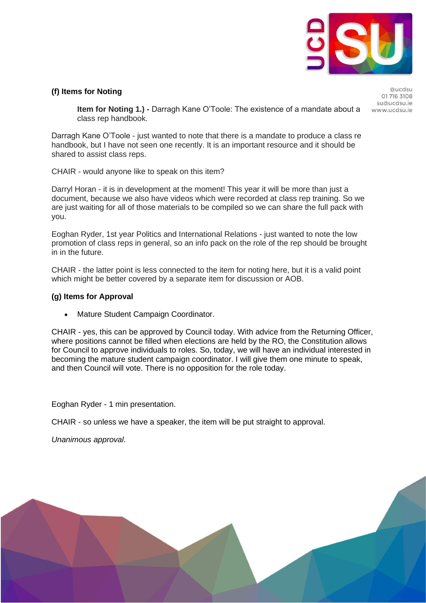

### **(f) Items for Noting**

Quedsu 01 716 3108 su@ucdsu.ie www.ucdsu.je

**Item for Noting 1.) -** Darragh Kane O'Toole: The existence of a mandate about a class rep handbook.

Darragh Kane O'Toole - just wanted to note that there is a mandate to produce a class re handbook, but I have not seen one recently. It is an important resource and it should be shared to assist class reps.

CHAIR - would anyone like to speak on this item?

Darryl Horan - it is in development at the moment! This year it will be more than just a document, because we also have videos which were recorded at class rep training. So we are just waiting for all of those materials to be compiled so we can share the full pack with you.

Eoghan Ryder, 1st year Politics and International Relations - just wanted to note the low promotion of class reps in general, so an info pack on the role of the rep should be brought in in the future.

CHAIR - the latter point is less connected to the item for noting here, but it is a valid point which might be better covered by a separate item for discussion or AOB.

### **(g) Items for Approval**

• Mature Student Campaign Coordinator.

CHAIR - yes, this can be approved by Council today. With advice from the Returning Officer, where positions cannot be filled when elections are held by the RO, the Constitution allows for Council to approve individuals to roles. So, today, we will have an individual interested in becoming the mature student campaign coordinator. I will give them one minute to speak, and then Council will vote. There is no opposition for the role today.

Eoghan Ryder - 1 min presentation.

CHAIR - so unless we have a speaker, the item will be put straight to approval.

*Unanimous approval*.

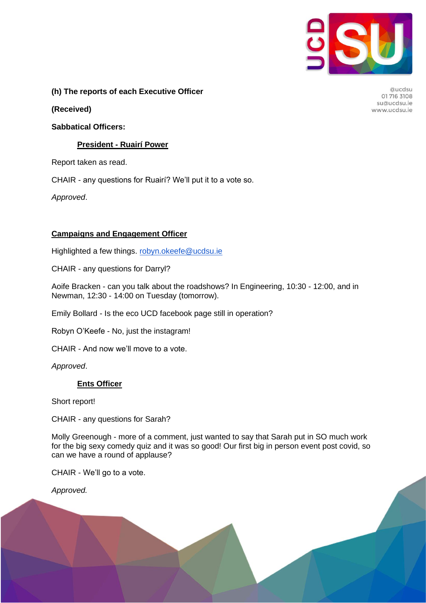

## **(h) The reports of each Executive Officer**

**(Received)**

### **Sabbatical Officers:**

### **President - Ruairí Power**

Report taken as read.

CHAIR - any questions for Ruairí? We'll put it to a vote so.

*Approved*.

## **Campaigns and Engagement Officer**

Highlighted a few things. [robyn.okeefe@ucdsu.ie](mailto:robyn.okeeffe@ucdsu.ie)

CHAIR - any questions for Darryl?

Aoife Bracken - can you talk about the roadshows? In Engineering, 10:30 - 12:00, and in Newman, 12:30 - 14:00 on Tuesday (tomorrow).

Emily Bollard - Is the eco UCD facebook page still in operation?

Robyn O'Keefe - No, just the instagram!

CHAIR - And now we'll move to a vote.

*Approved*.

### **Ents Officer**

Short report!

CHAIR - any questions for Sarah?

Molly Greenough - more of a comment, just wanted to say that Sarah put in SO much work for the big sexy comedy quiz and it was so good! Our first big in person event post covid, so can we have a round of applause?

CHAIR - We'll go to a vote.

*Approved.*

Qucdsu 01 716 3108 su@ucdsu.ie www.ucdsu.ie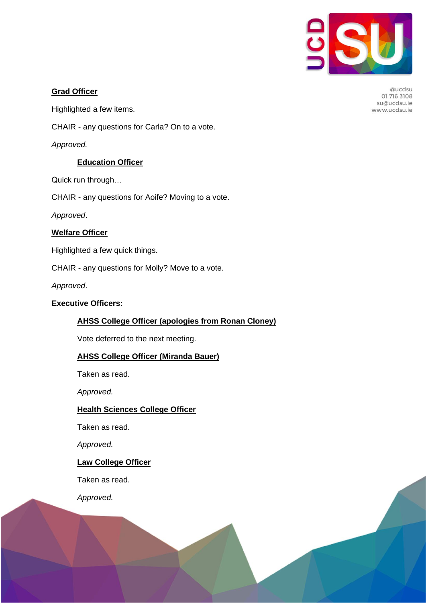

@ucdsu 01 716 3108 su@ucdsu.ie www.ucdsu.ie

### **Grad Officer**

Highlighted a few items.

CHAIR - any questions for Carla? On to a vote.

*Approved.*

## **Education Officer**

Quick run through…

CHAIR - any questions for Aoife? Moving to a vote.

*Approved*.

## **Welfare Officer**

Highlighted a few quick things.

CHAIR - any questions for Molly? Move to a vote.

*Approved*.

## **Executive Officers:**

## **AHSS College Officer (apologies from Ronan Cloney)**

Vote deferred to the next meeting.

### **AHSS College Officer (Miranda Bauer)**

Taken as read.

*Approved.*

## **Health Sciences College Officer**

Taken as read.

*Approved.*

### **Law College Officer**

Taken as read.

*Approved.*